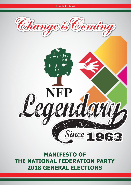

Electoral Advertisement

**MANIFESTO OF THE NATIONAL FEDERATION PARTY 2018 GENERAL ELECTIONS**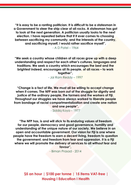**"It is easy to be a ranting politician. It is difficult to be a statesman in a Government to steer the ship clear of all rocks. A statesman has got to look at the next generation. A politician usually looks to the next election. I have repeated before that if it ever comes to choosing between sacrificing my community, and the interests of the country, and sacrificing myself, I would rather sacrifice myself",**

 $-$  A D Patel – 1964

**"We seek a country whose children of all races grow up with a deep understanding and respect for each other's cultures, languages and traditions. We seek a country which encourages the best and the brightest indeed, encourages all its people, of all races – to work together",**

- Jai Ram Reddy – 1997

**"Change is a fact of life. We must all be willing to accept change when it comes. The NFP was born out of the struggle for dignity and justice of the ordinary people, the farmers and the workers of Fiji. Throughout our struggles we have always worked to liberate people from bondage of racial compartmentalization and create one nation and one people",**

- Siddiq Koya – 1977

**"The NFP has, is and will stick to its enduring values of freedom for our people, democracy and good governance, humility and understanding of the unique nature of our society. We believe in an open and accountable government. Our vision for Fiji is one where people have the freedom to earn a decent living, freedom to question the government, and freedom from fear and oppression. It is a Fiji where we will promote the delivery of services to all without fear and favour",**

- Biman Prasad - 2014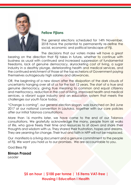

### **Fellow Fijians**

The general elections scheduled for 14th November, 2018 have the potential to permanently re-define the social, economic and political landscape of Fiji.

The decisions that our voters make will have a great bearing on the direction that Fiji takes in future, whether to continue with business as usual with continued and increased suppression of fundamental freedoms, lack of genuine democracy, skyrocketing cost of living, a sugar industry in a deathly plunge, deteriorating health and medical services, and the continued enrichment of those at the top echelons of Government paying themselves outrageously high salaries and allowances.

OR, the beginning of a new dawn after the dissipation of the dark clouds of uncertainty hanging over all of us for the last 12 years. The start of a true and genuine democracy, giving true meaning to common and equal citizenry and meritocracy, reduction in the cost of living, improved health and medical services, a vibrant sugar industry and an education system that meets the challenges our youth face today.

"Change is coming", our general election slogan, was launched on 3rd June 2017 at our national convention in Lautoka, together with our core policies after our initial Talanoa consultations.

More than 16 months later, we have come to the end of our Talanoa consultations. We gratefully acknowledge the many, people from all walks of life, who gave freely their time and resources to sit down and share their thoughts and wisdom with us. They shared their frustration, hopes and dreams. They are yearning for change. Their trust and faith in NFP will not be misplaced.

Our manifesto is a living document and a genuine commitment to the people of Fiji. We want you hold us to our promises. We are accountable to you.

God Bless Fiji

**Biman Prasad**

*Leader*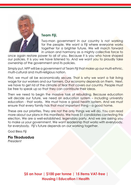

### **Team Fiji,**

Two-man government in our country is not working for the people. We want a Fiji where everyone works together for a brighter future. We will march forward in unison and harmony as a mighty collective force to

once again restore power to all of you. Because it is you who have shaped our policies. It is you we have listened to. And we want you to proudly take ownership of the government and its policies.

Simply put, NFP will be a government of Team Fiji that make up our multi-ethnic, multi-cultural and multi-religious nation.

First, we must all be economically secure. That is why we want a fair living wage for our workers and our farmers. Our economy depends on them. Next, we have to get rid of the climate of fear that covers our country. People must be free to speak up so that they can contribute their ideas.

Then we need to begin the massive task of rebuilding. Because education will decide our future, we need an education system – including university education - that works. We must have a good health system. And we must ensure that every family has that most important thing – a good home.

These are our priorities. They are not the only things we will do. You can read more about our plans in this manifesto. We have 51 candidates contesting this election. We are a well-established, legendary party. And we are asking you to make us your government. We want leadership that works with everybody, for everybody. Fiji's future depends on our working together.

God Bless Fiji

# **Pio Tikoduadua**

*President*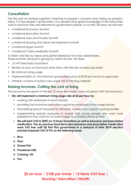### **Consultation**

The first part of working together is listening to people's concerns and taking up people's ideas. It is the people's government. Our people have great knowledge of the areas they work in and how they are affected by government policies. In our first 100 days we will hold:

- a National Economic Summit
- a National Education Summit
- a National Jobs and Poverty Summit
- a National Housing and Urban Development Summit
- a National Sugar Summit
- a National i-Tukei Leadership Summit

to share and test our ideas and gather feedback from key stakeholders. These summits will result in giving you within the first 100 days:

- 15 VAT free basic food items
- Review of duty on food and other items with the aim of reducing duties
- \$5 minimum living wage
- Implementation of the minimum guaranteed price of \$100 per tonne of sugarcane
- Initiation of plans to build a new sugar mill at Penang, Rakiraki

### **Raising incomes. Cutting the cost of living**

The economy has grown in the last 12 years. But wages have not grown with the economy.

- **• We will implement a minimum living wage rate of \$5 per hour by:**
	- working with employers in each industry
	- providing tax incentives and other support to employers in low-wage sectors
	- formulating special measures for domestic workers who support working families
	- implementing special measures to ensure that young people who want work experience may work for no lower wages for a limited period of time
	- **• We will slash VAT to ZERO on 15 basic food items as well as kerosene and prescription medication. The six previous food items plus kerosene and prescription medication were VAT free until Fiji First First government in a betrayal of their 2014 election promise imposed VAT of 9% on the following foods:**
	- **1. Rice**
	- **2. Flour**
	- **3. Tinned Fish**
	- **4. Powdered milk**
	- **5. Cooking Oil**
	- **6. Tea**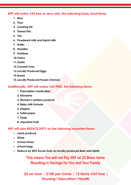#### **NFP will make VAT free or zero-rate, the following basic food items:**

- **1. Rice**
- **2. Flour**
- **3. Cooking Oil**
- **4. Tinned Fish**
- **5. Tea**
- **6. Powdered milk and liquid milk**
- **7. Butter**
- **8. Noodles**
- **9. Potatoes**
- **10.Onion**
- **11.Garlic**
- **12.Canned Tuna**
- **13.Locally Produced Eggs**
- **14.Bread**
- **15.Locally Produced Frozen Chicken**

#### **Additionally, NFP will make VAT FREE, the following items:**

- 1. **Prescription medication**
- **2. Kerosene**
- **3. Women's sanitary products**
- **4. Baby milk formula**
- **5. Diapers**
- **6. Toilet paper**
- **7. Soap**
- **8. Imported Fruits**

**NFP will also REDUCE DUTY on the following imported items:**

- **• Lamb products**
- **• Ghee**
- **• School shoes**
- **• school bags**
- **• Reduce by 20% Excise Duty on locally produced Beer and Spirits**

**This means You will not Pay VAT on 23 Basic Items Resulting in Savings for You and Your Family**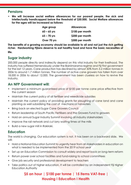### **Pensions**

**• We will increase social welfare allowances for our poorest people, the sick and intellectually handicapped below the threshold of \$30.000. Social Welfare allowances for the ages will be increased as follows:**

| Age group     | <b>Allowances</b> |
|---------------|-------------------|
| $60 - 65$ yrs | \$100 per month   |
| $65 - 70$ yrs | \$200 per month   |
| Over 70 yrs   | \$300 per month   |

**The benefits of a growing economy should be available to all and not just the rich getting richer. Hardworking Fijians deserve to eat healthy food and have the basic necessities of life.** 

### **Sugar industry**

200,000 people directly and indirectly depend on this vital industry for their livelihood. The industry has suffered tremendously under the Bainimarama regime and Fiji First government for the last 12 years. Cane production has declined by almost 50% from 3.2 million tonnes in 2006 to around 1.7 million tonnes. The number of active cane growers has fallen from over 18,000 in 2006 to about 12,000. The government has been clueless on how to revive the industry.

### **An NFP Government will:**

- Implement a minimum guaranteed price of \$100 per tonne cane price effective from the current season
- Maintain the current policy of all fertiliser and weedicide subsidies
- Maintain the current policy of providing grants for ploughing of cane land and cane planting as well subsidising the cost of mechanical harvesters
- Bring back an elected Sugar Cane Growers Council
- Return leadership of South Pacific Fertilisers and the Growers Fund to growers
- Hold an annual Sugar Industry Summit involving all industry stakeholders
- Improve the rail network and cut lorry waiting times at the mills
- Build a new sugar mill in Rakiraki.

#### **Education**

The world is changing. Our education system is not. It has been on a backward slide. We will:

- Hold a National Education Summit to urgently hear from all stakeholders in education on what is needed to be implemented from the 2019 school year
- Set up an Education Commission to consult widely and report back on long-term reform
- Return power over school facilities and fund-raising to school committees
- Give job security and professional development to teachers
- Take politics out of higher education. It will be controlled by an independent Fiji Higher Education Authority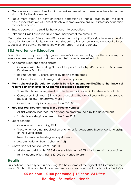- Guarantee academic freedom in universities. We will not pressure universities whose staff criticise the Government
- Focus more efforts on early childhood education so that all children get the right educational start. We will consult closely with employers to ensure that tertiary education meets their needs
- Ensure people with disabilities have access to education.
- Introduce Civic Education as a compulsory part of the curriculum.

Our students are our future. An NFP government will put politics aside to ensure quality education for our students. We want our students to be successful and our country to be successful. This cannot be achieved without support for our teachers.

### **TELS And Tertiary Education**

Education lifts our productivity, grows people's incomes and grows the economy for everyone. We have talked to students and their parents. We will establish:

- Academic Excellence scholarships
	- Continue with the existing National Toppers Scholarship (Rename it as Academic Excellence Scholarship)
	- Restructure the 12 priority areas by adding more areas.
	- Include a leadership training workshop component.
- **• Merit Scholarship (to cater for students from low income families)Those that have not received an offer letter for Academic Excellence Scholarship**
	- Those that have not received an offer letter for Academic Excellence Scholarship
	- Completed their Year 13 in a year preceding the award year with an aggregate mark of not less than 250/400 marks
	- Combined family income is less than \$30,000
- **• Free First Year Degree studies at the three universities**
	- All first-year courses fees (for any degree program) paid by the government
	- Students enrolling in degree studies from 2019
- Loans Scheme
	- Continue with the existing TELS
	- Those who have not received an offer letter for Academic Excellence Scholarship or Merit Scholarship
	- New Students and existing tertiary students
	- Accommodation Loans Scheme (ALS)
- Conversion of Loans to Grant under TELS
	- All student debt under TELS since establishment of TELS for those with a combined family income of less than \$30, 000 converted to grant

#### **Health**

Fiji's national health system is declining. We have some of the highest NCD statistics in the world. Our hospitals and health centres are poorly resourced and badly maintained. Our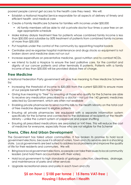poorest people cannot get access to the health care they need. We will:

- Establish a National Hospital Service responsible for all aspects of delivery of timely and efficient health and medical care
- Create a Family Healthcare Scheme for families with incomes under \$30,000
	- All family members will be able to visit a private doctor four times a year free on an age appropriate schedule
- Make kidney dialysis treatment free for patients whose combined family income is less than \$30,000 and subsidise by 50% treatment of patients from combined family incomes of more than \$30,000
- Put hospitals under the control of the community by appointing hospital boards
- Centralise and re-organise hospital maintenance and drugs stocks so equipment is not broken down and medicine does not run out
- Increase expenditure on preventative medicine, good nutrition and to combat NCDs.
- we intend to build a Hospice to ensure the best palliative care, for the comfort and dignity of our cancer patients and other terminally ill patients. Patients with a family income of less than \$30,000 will be provided dialysis free of charge.

### **Free Medicine**

A National Federation Party government will give true meaning to Free Medicine Scheme by:

- Increasing the threshold of income to \$30,000 from the current \$20,000 to ensure more of our people benefit from the Scheme
- Giving true meaning to "free" by ensuring all those who qualify for the Scheme are able to receive any medication prescribed by a doctor – not just the 142 generic medicines selected by Government, which are often not available
- Enabling private pharmacies to send monthly bills to the Health Ministry on the total cost of free medicine dispensed to eligible patients
- Ensuring all private pharmacies are equipped with a separate information system specifically for the Scheme and connected to the database of recipients at the Health Ministry – unlike the current system of paperwork and paper shuffling
- Ensuring all prescribed medications are zero-rated or VAT-free. This will reduce the cost of medicine for everyone, especially those who are not eligible for the Scheme

### **Towns, Cities And Urban Development**

The Government has failed urban communities. It has broken its promise to hold local government elections, because it is afraid of voters. Town and city services are in a shocking state. Local governments are best suited to address local problems and improve the quality of life for their residents and commuters. We will:

- Bring back local government elections, so people can take their issues to local community leaders (and hold them accountable with their votes).
- Hold local government to high standards of garbage collection, cleanliness, drainage, and maintenance of parks and other services
- Upgrade recreational areas and parks in each town and city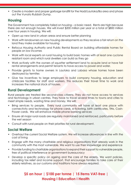• Create a modern and proper garbage landfill for the Nadi/Lautoka/Ba area and phase out the Vunato Rubbish Dump.

### **Housing**

The Government has completely failed on housing – a basic need. Rents are high because there are not enough houses. We will invest \$200 million per year or a total of \$800 million over four years in housing. We will:

- Open up new land in urban areas and ensure better planning
- Work with landowners on new housing developments so they receive a fair return on the land they make available for housing
- Refocus Housing Authority and Public Rental Board on building affordable homes for people on low incomes
- Work with local experts on rural housing to build basic homes with at least one cyclone resistant room and which rural dwellers can build as they go
- Work actively with the owners of squatter settlement land to acquire land or have fair rental arrangements and permit tenants to have access to power and water.
- Provide grants to home owners in Lautoka and Labasa whose homes have been destroyed by termites
- Give tax incentives to large employers to build company housing, education and childcare facilities for staff and workers. This reduces their travel time to work and increases the national stock of houses.

#### **Rural Development**

Rural people are treated like second-class citizens. They do not have access to services and technology in urban centres. They have to travel several times to towns and cities to meet simple needs, wasting time and money. We will:

- Bring services to people. Every rural community will have at least one place with connectivity and technology for phone cards, e-ticketing, birth certificates, TINs, Cash-Power cards. We will enhance mobile phone banking services
- Ensure all major rural roads are regularly maintained and reinforced, particularly before the wet season
- Consult with rural people on their priorities for rural development.

#### **Social Welfare**

- Overhaul the current Social Welfare system. We will increase allowances in line with the cost of living
- Engage with the many charitable and religious organisations that already work in the community with the most vulnerable. We want to use their knowledge and experience
- Provide funding to charitable organisations to expand their support to vulnerable people, free of political interference or government bureaucracy
- Develop a specific policy on ageing and the care of the elderly. We want policies, including tax relief and income support, that encourage families to take care of their elderly relatives, as our customs and traditions have always required.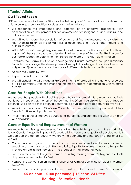### **i-Taukei Affairs**

#### **Our i-Taukei People**

NFP recognises our indigenous Fijians as the first people of Fiji, and as the custodians of a unique culture, strong traditional values and their own land.

- We recognise the importance and potential of an effective, responsive Fijian administration as the primary tier for governance for indigenous land, natural and cultural resources
- We will work through the devolution of powers and financial resources to revitalise the Fijian Administration as the primary tier of governance for iTaukei land, natural and cultural resources.
- Within 100 days of coming into government we will convene a national forum for traditional high chiefs, heads of yavusa and leaders in other spheres of iTaukei life. This in order for our iTaukei leaders to determine themselves the future of the Fijian administration.
- Revitalise the i-Taukei Institute of Language and Culture (formerly the Fijian Dictionary Project) to encourage the development of in-depth knowledge of and literature in the indigenous Fijian language and the study of different dialects and oral histories
- Abolish the Village By-laws
- Repeal the Rotuma Land Bill
- We will uphold the CBD Nagoya Protocol in terms of protecting the genetic resources of Fiji's biodiversity, with Free Prior and Informed Consent in consultation with resource owners.

### **Care For People With Disabilities**

We believe that people with disabilities should have the same rights to work and actively participate in society as the rest of the community. Often, their disabilities hide untapped potential. We can tap that potential if they have equal access to opportunities. We will:

- Work in partnership with City/Town Councils and rural authorities to provide disabledfriendly facilities in all public places
- Invest more towards improved educational outcomes and promote inclusion of children with disabilities

### **Gender Equality and Empowerment of Women**

We know that achieving gender equality is not just the right thing to do – it is the smart thing to do. Gender inequality impacts Fiji's productivity, income and quality of development. If we can achieve gender equality, we grow the economy and the quality of national life. We will:

- Consult women's groups on special policy measures to reduce domestic violence, sexual harassment and assault. This is a priority. Equality for women means nothing while they are unsafe in their homes, on the streets or in their places of work
- Focus on the cost of living for women, including making women's hygiene products duty-free and zero-rated for VAT
- Respect the Convention on the Elimination of All Forms of Discrimination against Women (CEDAW)
- Ensure all economic policy addresses constraints that affect women's access to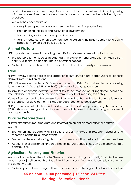productive resources, removing discriminatory labour market regulations, improving infrastructure services to enhance women's access to markets and female friendly work practices

- We will also concentrate on
	- strengthening women's endowments and economic opportunities,
	- strengthening the legal and institutional environment,
	- transforming social norms and practices and
	- taking measures to enable women's participation in the policy domain by creating space for women's collective action.

### **Animal Welfare**

NFP supports the cause of alleviating the suffering of animals. We will make laws for:

- The preservation of species threatened with extinction and protection of wildlife from harmful exploitation and destruction of critical habitat
- Protection of animals including companion animals from cruelty and violence.

#### **Land**

NFP will review all land policies and legislation to guarantee equal opportunities for benefits derived from utilization of land.

NFP will lease land under NLTA from landowners at 10% UCV and sub-lease to aspiring tenants under ALTA at 6% UCV with 4% to be subsidised by government.

To stimulate economic activities relevant tax to be imposed on all registered leases and freehold land not developed for a year from the date of imposing this policy.

Value of unused land to be assessed and recorded so that viable land can be identified and proposal for development initiated to boost economic development.

NFP government will identify land available viable for development using the proposed \$200 million for housing so that all citizens are not deprived of decent living environment and opportunities

#### **Disaster Preparedness**

NFP will strengthen real time data and information on anticipated national disasters.

We will:

- Strengthen the capability of institutions directly involved in research, updates and recording of natural disaster events.
- Ensure that there is a standing allocation in the national budget for disaster preparedness
- Account for all assistance rendered times of natural disasters, including aid and voluntary contributions.

### **Agriculture, Forestry and Fisheries**

We have the land and the climate. The world is demanding good quality food. And yet we import nearly \$1 billion worth of food into Fiji each year. We have to completely change the game. We will:

Make imports of seeds, agricultural machinery and other agricultural inputs duty free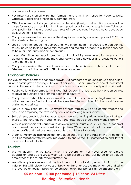and improve the processes

- Revitalise Agro-Marketing so that farmers have a minimum price for Yaqona, Dalo, Cassava, Ginger and other high in demand crops
- Offer tax incentives to large agricultural enterprises (foreign and local) to develop other crops for export, on condition that they support local farmers to supply them Tobacco and poultry farming are good examples of how overseas investors have developed agriculture for Fiji farmers.
- Completely review the structure of the dairy industry and guarantee a price of \$1.25 per litre of milk at the farm gate
- Look at ways to reduce the barriers and time of getting farm produce to urban centres to sell, including building more mini markets and maintain proactive extension services to help farmers utilize modern techniques
- Invest \$20 million per year in creating and maintaining new plantation forests for indemand timbers. Planting and maintenance will create new jobs and forests will benefit future generations
- Completely review the current inshore and offshore fisheries policies so that local fishermen obtain the benefit of Fiji's fisheries resources.

### **Economic Policies**

The Government boasts of economic growth. But compared to countries in Asia and Africa, Fiji's economic growth average – below 3% per year – is poor. Fiji remains one of the hardest places in the world to start a business. Tax policies are bureaucratic and punitive. We will:

- Hold a National Economic Summit in our first 100 days in office to gather views on policies to develop business and promote economic equality
- Completely overhaul the rules for investment and the process for starting businesses. We will follow the New Zealand model - because New Zealand is No 1 in the world for ease of starting a business
- Set up a new Fiscal Review Committee whose mission will be to consult widely and advise on simplifying the taxation system and removing bureaucracy
- Set a simple, predictable, five-year government economic policies in National Budgets. These will not change from year to year. Businesses need predictability and stability
- Work in partnership with business to develop infrastructure and social services for profit and to meet their social responsibility objectives. We understand that business is not just about profits and that business also wants to contribute to society.
- Urgently implement mining projects and accelerate the mining industry. This will be done in full consultation with the resource owners to ensure their full participation and flow of maximum benefits to them

#### **Tourism**

- We will abolish the 6% ECAL (which the government has never used for climate adaptation)and add a 2% service tax, to be collected and distributed to all waged employees of the resort/ restaurant/service
- We will completely review and overhaul the taxation of tourism, in consultation with the industry. This will include the types of tax, when tax changes are implemented and using the revenue on tourism taxes for tourism promotion that benefits all tourism operators.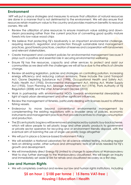### **Environment**

 NFP will put in place strategies and measures to ensure that utilization of natural resources are done in a manner that is not detrimental to the environment. We will also ensure that resources retain maximum value to the country and provides maximum benefits to resource owners. We will:

- Review the utilization of pine resources to ensure maximum value adding and downsteam processing rather than the current practice of converting good quality mature forests into low-value wood chips
- We believe that protecting Fiji's biodiversity is an important environmental challenge, requiring research, regulation and protection through sustainable land management practices, good forestry practices, creation of reserves and cooperation with landowners and relevant stakeholders.
- Create transparent and consistent policies for environmental management because it plays such a positive and essential role in securing environmental wellbeing.
- Ensure Fiji has the resources, capacity and other services to protect and assist our communities as we deal with the challenges we will all face due to the effects of climate change.
- Review all existing legislation, policies and strategies on controlling pollution, increasing energy efficiency and reducing carbon emissions. These include the Land Transport Act, Ozone Depleting Substance Act (1998), Occupational Health and Safety Act, Public Health Act (1955), Environmental Management Act, Mining Act, Water Supply Act (1955), Town Planning Act, Sewage Amendment Act (1974), Ports Authority of Fiji Regulation (2008) and the Litter Amendment Decree (2010)
- Work in partnership with environmental NGOs towards environmental stewardship in light of rapid urban development and other significant influences.
- Review the management of fisheries, particularly dealing with licenses issued to offshore fishing vessels.
- Endeavour to move beyond conventional environmental management by complementing the existing regulations with a broader array of policies, economic instruments and management practices that provide incentives to change consumption and production.
- The 20 cents plastic bag levy will be removed and replaced by a plastic buy-back scheme, which will allow people to sell plastic bags and other plastic products to government or private sector operators for recycling and or environment friendly disposal, with the eventual aim of banning the use of single use plastic bags altogether
- We will put in place a Science-based Environment Policy
- We will establish a National Laboratory for all science related testing, including regular tests on drinking water, other surface and atmospheric tests of all kinds needed for Fiji's growth and development.
- We will immediately direct Energy Fiji Limited to change its operations at Wainasavulevu Weir to stop further damage to the Wainisavulevu cloudforest. We will begin an Inquiry and immediately set aside \$10M for rehab and cloudforest recovery as a first step.

### **Law and Human Rights**

We will completely overhaul and review our law and human rights institutions, including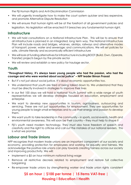the Fiji Human Rights and Anti-Discrimination Commission

- We will urgently investigate how to make the court system quicker and less expensive, and promote Alternative Dispute Resolution
- We will ensure that human rights will be at the forefront of all government policies and legislation. No legislation will be enacted if it breaches any fundamental human right.

### **Infrastructure**

- We will hold consultations on a National Infrastructure Plan. This will be to ensure that all infrastructure is planned in an integrated, long term way. The National Infrastructure Plan will include roads and bridges, wharves, airstrips, railways and alternative modes of transport; power, water and sewerage; and communications. We will set policies for safe, climate-friendly and economically efficient infrastructure
- We will look at funding alternatives for infrastructure including BOOT (Build, Own, Operate, Transfer) projects begun by the private sector
- We will review and establish a new policy for haulage sector.

### **Youth**

**"Throughout history, it's always been young people who had the passion, who had the courage and who were worried about social justice" – NFP leader Biman Prasad**

- But it's not just about social justice. It's about economic opportunities too.
- We understand that youth are tired of being talked down to. We understand that they must be directly involved in strategies to improve their lives
- In our first 100 days we will hold a National Youth Summit with a wide range of youth representatives we will develop strategies focused on education, employment and enterprise
- We want to develop new opportunities in tourism, agri-business, outsourcing and servicing. These are not just opportunities for employment. They are opportunities for young people to begin small enterprises and to use their energy and passion to develop them.
- We want youth to take leadership in the community in sports, social events, health and environmental awareness. This will soon be their country – they must help to shape it
- Fiji's youth need modern technology. They must also have freedom of speech and creativity and the right to criticise and call out the mistakes of our national leaders. This is what we promise

### **Labour and Trade Unions**

NFP recognizes that modern trade unions are an important component of our society and economy, providing protection for employees and working for equality and fairness. We acknowledge the positive role unions can play towards creating fairness across our society and improving productivity. We will:

- Implement a \$5 an hour minimum national living wage
- Remove all restrictive decrees related to employment and restore full collective bargaining
- Re-empower trade unions by strengthening worker and trade union rights consistent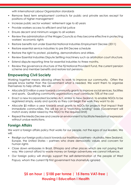with International Labour Organization standards

- Remove fixed term employment contracts for public and private sectors except for positions of higher management
- Increase public sector workers' retirement age to 60 years
- Provide workers access to efficient and fair justice
- Ensure decent and minimum wages to all workers
- Review the administration of the Wages Councils so they become effective in protecting workers' economic rights
- Restore benefits lost under Essential National Industries Employment Decree (2011)
- Restore essential service industries to pre ENI Decree schedule
- Restore the right to protest, picketing, demonstrations and strikes.
- Review Essential Industries Dispute Settling machinery such as arbitration court structure.
- Extend dispute reporting time for essential industries to three months.
- Review the governance structure of the Fiji National Provident Fund, the current pension scheme and member benefits and restore lost pensions.

### **Empowering Civil Society**

Working together means allowing others to work to improve our community. Often the people know better than the Government what is needed. We want them to organise themselves to help others. We will:

- Allocate \$10 million a year towards community grants to improve social services, facilities and sports. Qualifying community organisations must contribute 75% of the cost
- Enact a new Incorporated Societies Act, similar to New Zealand, to enable NGOs to be registered simply, easily and quickly so they can begin the work they want to do
- Allocate \$5 million a year towards small grants to NGOs for projects that impact their immediate communities. This will be on a "matching funding" basis (Government will match every dollar raised by the NGO to the required limit)
- Repeal the Media Decree and create an environment to facilitate freedom of expression without undue restrictions.

### **Foreign Affairs**

We want a foreign affairs policy that works for our people, not the egos of our leaders. We will:

- Realign our foreign policy back towards our traditional partners Australia, New Zealand, Europe, the United States – partners who share democratic values and concern for human rights
- Close down embassies in Brazil, Ethiopia and other places which are not paying their way. We cannot afford to waste money on foreign adventures we cannot influence.
- Our foreign policy will strongly support the self-determination of the people of West Papua, whom the current Fiji First government has shamefully ignored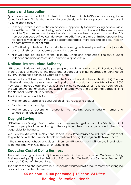### **Sports and Recreation**

Sports is not just a good thing in itself. It builds fitness, fights NCDs and is a strong force for national unity. This is why we want to completely re-think our approach to the current national sports policy.

- In today's world, sports is also an economic opportunity for many young people. More than 400 young Fijians are playing professional rugby around the world. They send money back to Fiji and serve as ambassadors of our country in their adopted communities. This number can double if we can develop their skills. There are also unlimited opportunities for Fijians to work around the world as sports managers, therapists and officials. This is an opportunity we must not miss.
- NFP will set up a National Sports Institute for training and development in all major sports and establish sports academies around the country.
- NFP will keep politics out of the Fiji Rugby Union and encourage it to thrive under independent management and commercial sponsorship.

### **National Infrastructure Authority**

NFP doesn't believe that despite pumping in a few billion dollars into Fiji Roads Authority, there is value for money for the roads and bridges being either upgraded or constructed by FRA. There has been huge wastage of funds.

We will replace FRA with establishment of the National Infrastructure Authority (NIA). The NIA will establish depots in every major municipality and rural station. Under NIA, at least 5,000 new jobs will be created in the next four years bringing back jobs lost to foreign contractors. We will remove the functions of the Ministry of Waterways and absorb that capability into the National Infrastructure Authority.

The NIA will be responsible for:

- Maintenance, repair and construction of new roads and bridges
- Maintenance of street lights
- Maintenance of government properties like hospitals, accommodation homes and schools on a regular basis

### **Daylight Saving**

NFP will remove Daylight Saving. When urban people change the clock, this "steals" daylight from rural people at the beginning of the day when they have to get cane to the mill or vegetables to the market.

We urge the Ministry of Employment Opportunities, Productivity and Industrial Relations not to go ahead with the planned implementation of daylight savings on 4th November 2018.

If the Ministry goes ahead and does it, then an NFP government will remove it and return to normal times within 20 days after taking office.

### **Reducing Cost of Doing Business**

The cost of doing business in Fiji has skyrocketed in the past 12 years. On Ease of Doing Business rankings, Fiji is ranked 101 out of 190 countries. On the Ease of Starting a Business, Fiji is ranked 160 out of 190 countries.

The high fees and charges for various unnecessary bureaucratic requirements are strangling our small and medium businesses.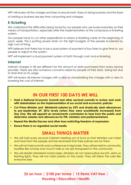NFP will review all the charges and fees to ensure both Ease of doing business and the Ease of starting a business are less time consuming and cheaper.

### **E-ticketing**

We understand the difficulties being faced by our people who use buses everyday as their means of transportation, especially after the implementation of the compulsory e-ticketing system.

Our people have to cut other expenditure to renew e-ticketing cards at the beginning of each week. This is putting severe strain on the tight budgets of the people burdened by high cost of living.

NFP believes that there has to be a dual system of payment of bus fares to give time to our people to adjust to the system.

NFP will implement a dual payment system of both through cash and e-ticketing.

### **Internet**

Internet charges in Fiji are different for the amount of data purchased from every service provider. There are also numerous concerns raised by people of their data being lost due to time limit on its usage.

NFP will review all internet charges with a view to standardising the charges with a view to lowering the cost of internet.

# **IN OUR FIRST 100 DAYS WE WILL**

- **• Hold a National Economic Summit and other sectoral summits to review and work with stakeholders on the implementation of our social and economic policies**
- **• Cut Prime Minister and Ministerial salaries by 25% and drastically slash allowances to pre-September 29, 2016 levels (when they were exorbitantly increased) from Day One. We will appoint an emoluments commission to hear from the public and determine salaries and allowances for PM, ministers and parliamentarians**
- **• Repeal the Media Decree and other laws restricting freedom of expression**
- **• Ensure there is no regulated social media**

# **SMALL THINGS MATTER**

- We will hold every second Cabinet meeting out of Suva so that Ministers can meet and hear from the people and be reminded that their policies are for them
- We will not hold summits and conferences in big hotels. They will be held in community facilities like schools and church halls so we are transparent in the community
- We will abolish Ministerial motorcades. Ministers do not need police escorts, sirens or flashing lights. They will not claim priority on the roads. They will follow the rules like everyone else.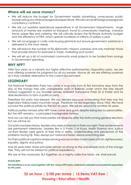#### **Where will we save money?**

- We will reduce the budget for Government media advertising, unnecessary public broadcasting any other propaganda expenditure. We will cancel all foreign propaganda consultancy contracts
- We will cut wasteful operational expenditure in all Government Departments. Huge amounts of money are wasted on transport, travel to unnecessary meetings, overseas travel, paper files and catering. We will critically review the Fiji Roads Authority budget and the efficiency of FRA, which spends hundreds of millions of dollars a year
- We will not engage in costly vote-buying gimmicks but ensure government assistance is delivered to the most needy
- We will reduce the number of Fiji diplomatic missions overseas and only maintain those that provide returns for example in trade, marketing and tourism
- We will set up a list of nominated community small projects to be funded from savings in Government spending.

#### **WHY NFP?**

After four years as a minority but highly effective parliamentary Opposition party, we are now offering ourselves for judgment by all our people. Above all, we are offering ourselves as a truly credible alternative to the current Government.

#### **LEGENDARY**

The National Federation Party has come a long way from its first formative days from the day of the mango tree with unshakeable roots in Rakiraki under which the late Alparti Tataiya suggested to our founder Leader Ambalal Dahyabhai Patel (A D Patel) and his able lieutenants to form a political party.

Therefore this party was blessed. We say blessed because overlooking that tree was the legendary Nakauvadra mountain range. Therefore we are legendary since 1963. We have survived the political pitfalls for the last 55 years. We will be around for another 55 years.

Political parties formed after NFP have come and gone despite being led by personalities. But the NFP remains,– a principled impregnable fortress.

And we can tell you that more parties will dissipate after the forthcoming general elections but we will live on.

Our party has been led by leaders who were statesmen in their own right. Their achievements are permanent milestones. Leaders like A D Patel, S M Koya, Harish Sharma and Justice Jai Ram Reddy were giants of their time in ability, understanding and perception of the problems facing Fiji. They always put national interest above everything else.

For them political capital or simply winning was secondary to principles of truth, righteousness, equality, dignity and justice.

And 55 years later, these principles remain as strong as the unshakable roots of the mango tree. They will not be shirked for political expediency.

We are at the crossroads. But together, as a mighty collective force, we shall prevail.

#### *POSTSCRIPT:*

*This Manifesto is to be read together with the various NFP policy statements adopted and published separately by the party.*